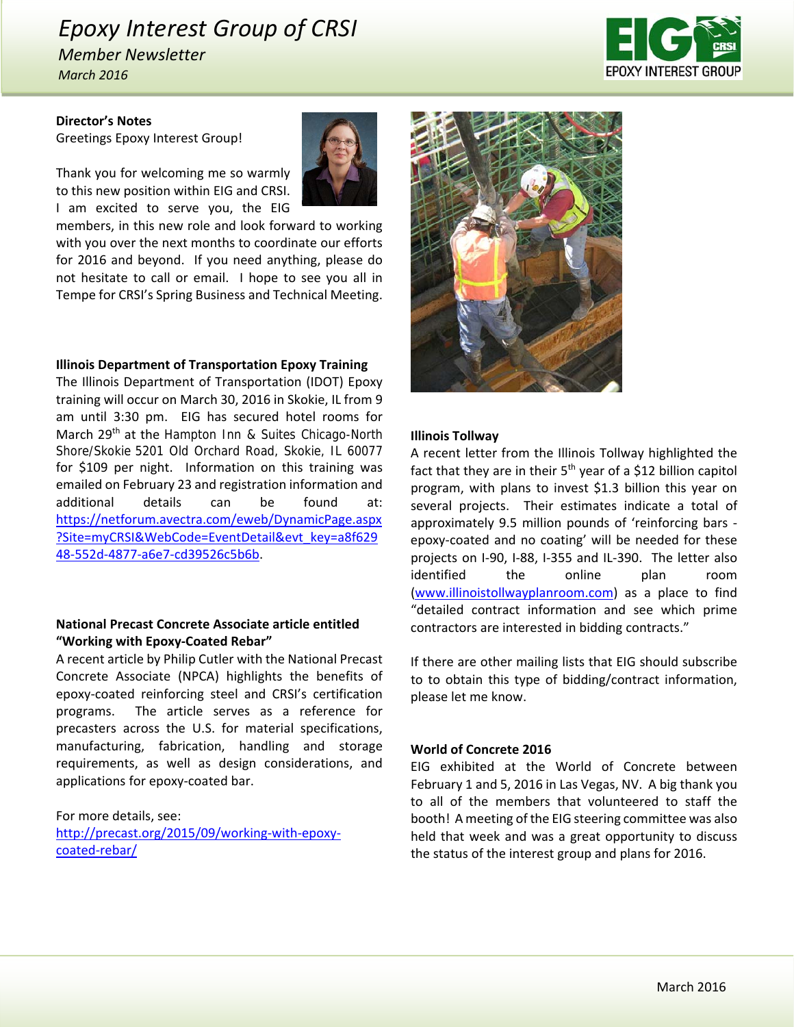# *Epoxy Interest Group of CRSI*

*Member Newsletter March 2016*



### **Director's Notes**

Greetings Epoxy Interest Group!

Thank you for welcoming me so warmly to this new position within EIG and CRSI. I am excited to serve you, the EIG

members, in this new role and look forward to working with you over the next months to coordinate our efforts for 2016 and beyond. If you need anything, please do not hesitate to call or email. I hope to see you all in Tempe for CRSI's Spring Business and Technical Meeting.

### **Illinois Department of Transportation Epoxy Training**

The Illinois Department of Transportation (IDOT) Epoxy training will occur on March 30, 2016 in Skokie, IL from 9 am until 3:30 pm. EIG has secured hotel rooms for March 29<sup>th</sup> at the Hampton Inn & Suites Chicago-North Shore/Skokie 5201 Old Orchard Road, Skokie, IL 60077 for \$109 per night. Information on this training was emailed on February 23 and registration information and additional details can be found at: https://netforum.avectra.com/eweb/DynamicPage.aspx ?Site=myCRSI&WebCode=EventDetail&evt\_key=a8f629 48‐552d‐4877‐a6e7‐cd39526c5b6b.

### **National Precast Concrete Associate article entitled "Working with Epoxy‐Coated Rebar"**

A recent article by Philip Cutler with the National Precast Concrete Associate (NPCA) highlights the benefits of epoxy‐coated reinforcing steel and CRSI's certification programs. The article serves as a reference for precasters across the U.S. for material specifications, manufacturing, fabrication, handling and storage requirements, as well as design considerations, and applications for epoxy‐coated bar.

For more details, see: http://precast.org/2015/09/working‐with‐epoxy‐ coated‐rebar/



### **Illinois Tollway**

A recent letter from the Illinois Tollway highlighted the fact that they are in their  $5<sup>th</sup>$  year of a \$12 billion capitol program, with plans to invest \$1.3 billion this year on several projects. Their estimates indicate a total of approximately 9.5 million pounds of 'reinforcing bars ‐ epoxy‐coated and no coating' will be needed for these projects on I‐90, I‐88, I‐355 and IL‐390. The letter also identified the online plan room (www.illinoistollwayplanroom.com) as a place to find "detailed contract information and see which prime contractors are interested in bidding contracts."

If there are other mailing lists that EIG should subscribe to to obtain this type of bidding/contract information, please let me know.

### **World of Concrete 2016**

EIG exhibited at the World of Concrete between February 1 and 5, 2016 in Las Vegas, NV. A big thank you to all of the members that volunteered to staff the booth! A meeting of the EIG steering committee was also held that week and was a great opportunity to discuss the status of the interest group and plans for 2016.